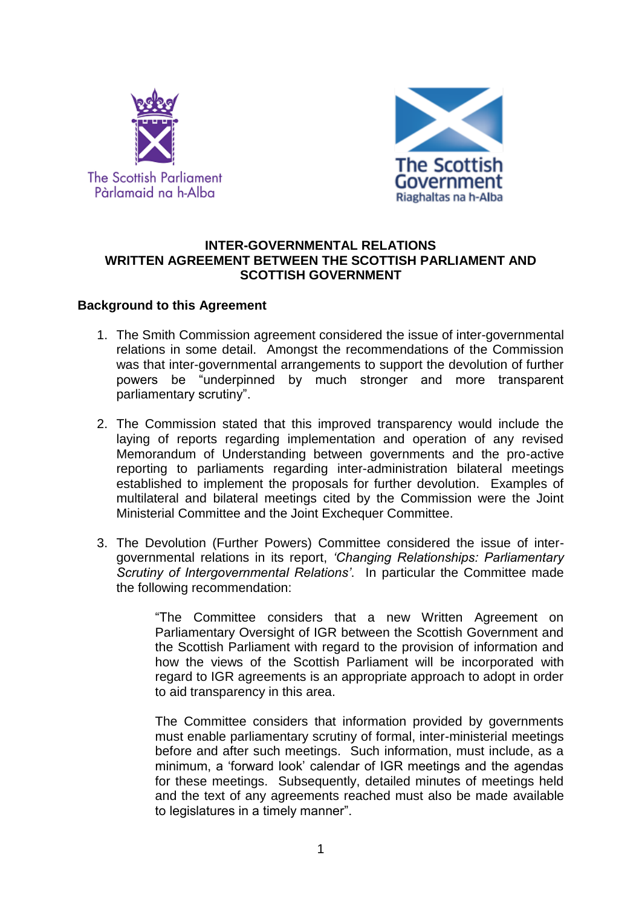



## **INTER-GOVERNMENTAL RELATIONS WRITTEN AGREEMENT BETWEEN THE SCOTTISH PARLIAMENT AND SCOTTISH GOVERNMENT**

#### **Background to this Agreement**

- 1. The Smith Commission agreement considered the issue of inter-governmental relations in some detail. Amongst the recommendations of the Commission was that inter-governmental arrangements to support the devolution of further powers be "underpinned by much stronger and more transparent parliamentary scrutiny".
- 2. The Commission stated that this improved transparency would include the laying of reports regarding implementation and operation of any revised Memorandum of Understanding between governments and the pro-active reporting to parliaments regarding inter-administration bilateral meetings established to implement the proposals for further devolution. Examples of multilateral and bilateral meetings cited by the Commission were the Joint Ministerial Committee and the Joint Exchequer Committee.
- 3. The Devolution (Further Powers) Committee considered the issue of intergovernmental relations in its report, *'Changing Relationships: Parliamentary Scrutiny of Intergovernmental Relations'*. In particular the Committee made the following recommendation:

"The Committee considers that a new Written Agreement on Parliamentary Oversight of IGR between the Scottish Government and the Scottish Parliament with regard to the provision of information and how the views of the Scottish Parliament will be incorporated with regard to IGR agreements is an appropriate approach to adopt in order to aid transparency in this area.

The Committee considers that information provided by governments must enable parliamentary scrutiny of formal, inter-ministerial meetings before and after such meetings. Such information, must include, as a minimum, a 'forward look' calendar of IGR meetings and the agendas for these meetings. Subsequently, detailed minutes of meetings held and the text of any agreements reached must also be made available to legislatures in a timely manner".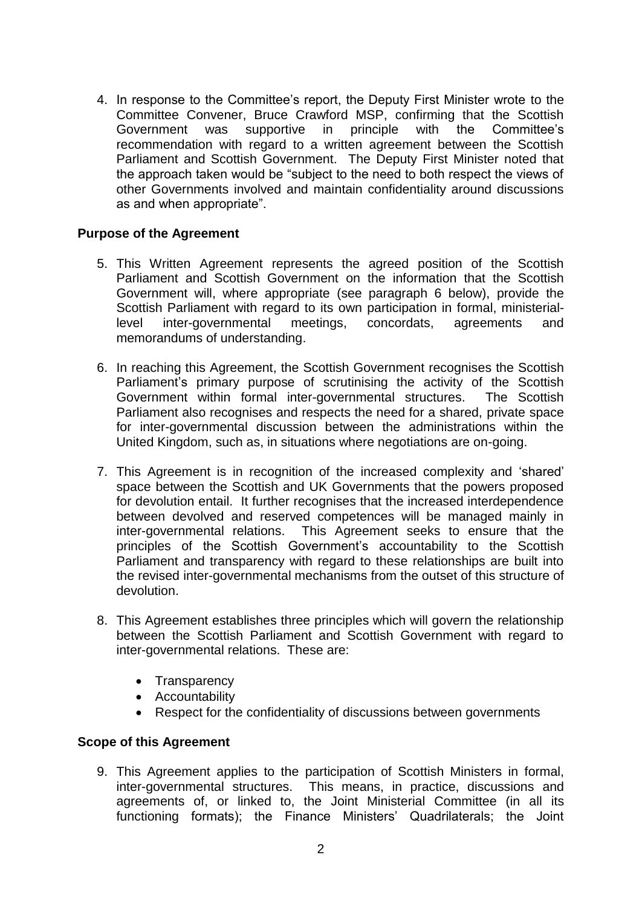4. In response to the Committee's report, the Deputy First Minister wrote to the Committee Convener, Bruce Crawford MSP, confirming that the Scottish Government was supportive in principle with the Committee's recommendation with regard to a written agreement between the Scottish Parliament and Scottish Government. The Deputy First Minister noted that the approach taken would be "subject to the need to both respect the views of other Governments involved and maintain confidentiality around discussions as and when appropriate".

# **Purpose of the Agreement**

- 5. This Written Agreement represents the agreed position of the Scottish Parliament and Scottish Government on the information that the Scottish Government will, where appropriate (see paragraph 6 below), provide the Scottish Parliament with regard to its own participation in formal, ministeriallevel inter-governmental meetings, concordats, agreements and memorandums of understanding.
- 6. In reaching this Agreement, the Scottish Government recognises the Scottish Parliament's primary purpose of scrutinising the activity of the Scottish Government within formal inter-governmental structures. The Scottish Parliament also recognises and respects the need for a shared, private space for inter-governmental discussion between the administrations within the United Kingdom, such as, in situations where negotiations are on-going.
- 7. This Agreement is in recognition of the increased complexity and 'shared' space between the Scottish and UK Governments that the powers proposed for devolution entail. It further recognises that the increased interdependence between devolved and reserved competences will be managed mainly in inter-governmental relations. This Agreement seeks to ensure that the principles of the Scottish Government's accountability to the Scottish Parliament and transparency with regard to these relationships are built into the revised inter-governmental mechanisms from the outset of this structure of devolution.
- 8. This Agreement establishes three principles which will govern the relationship between the Scottish Parliament and Scottish Government with regard to inter-governmental relations. These are:
	- Transparency
	- Accountability
	- Respect for the confidentiality of discussions between governments

# **Scope of this Agreement**

9. This Agreement applies to the participation of Scottish Ministers in formal, inter-governmental structures. This means, in practice, discussions and agreements of, or linked to, the Joint Ministerial Committee (in all its functioning formats); the Finance Ministers' Quadrilaterals; the Joint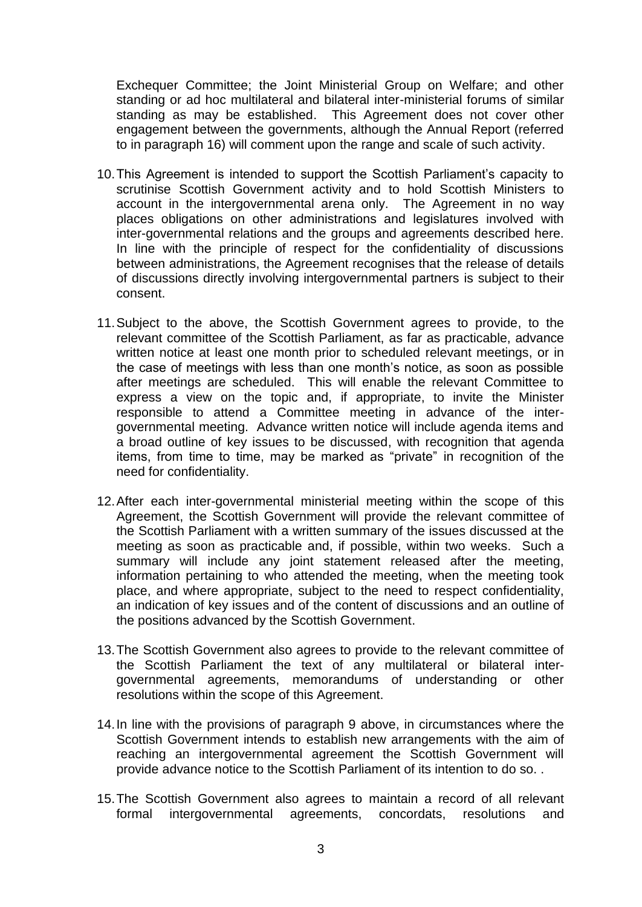Exchequer Committee; the Joint Ministerial Group on Welfare; and other standing or ad hoc multilateral and bilateral inter-ministerial forums of similar standing as may be established. This Agreement does not cover other engagement between the governments, although the Annual Report (referred to in paragraph 16) will comment upon the range and scale of such activity.

- 10.This Agreement is intended to support the Scottish Parliament's capacity to scrutinise Scottish Government activity and to hold Scottish Ministers to account in the intergovernmental arena only. The Agreement in no way places obligations on other administrations and legislatures involved with inter-governmental relations and the groups and agreements described here. In line with the principle of respect for the confidentiality of discussions between administrations, the Agreement recognises that the release of details of discussions directly involving intergovernmental partners is subject to their consent.
- 11.Subject to the above, the Scottish Government agrees to provide, to the relevant committee of the Scottish Parliament, as far as practicable, advance written notice at least one month prior to scheduled relevant meetings, or in the case of meetings with less than one month's notice, as soon as possible after meetings are scheduled. This will enable the relevant Committee to express a view on the topic and, if appropriate, to invite the Minister responsible to attend a Committee meeting in advance of the intergovernmental meeting. Advance written notice will include agenda items and a broad outline of key issues to be discussed, with recognition that agenda items, from time to time, may be marked as "private" in recognition of the need for confidentiality.
- 12.After each inter-governmental ministerial meeting within the scope of this Agreement, the Scottish Government will provide the relevant committee of the Scottish Parliament with a written summary of the issues discussed at the meeting as soon as practicable and, if possible, within two weeks. Such a summary will include any joint statement released after the meeting, information pertaining to who attended the meeting, when the meeting took place, and where appropriate, subject to the need to respect confidentiality, an indication of key issues and of the content of discussions and an outline of the positions advanced by the Scottish Government.
- 13.The Scottish Government also agrees to provide to the relevant committee of the Scottish Parliament the text of any multilateral or bilateral intergovernmental agreements, memorandums of understanding or other resolutions within the scope of this Agreement.
- 14.In line with the provisions of paragraph 9 above, in circumstances where the Scottish Government intends to establish new arrangements with the aim of reaching an intergovernmental agreement the Scottish Government will provide advance notice to the Scottish Parliament of its intention to do so. .
- 15.The Scottish Government also agrees to maintain a record of all relevant formal intergovernmental agreements, concordats, resolutions and